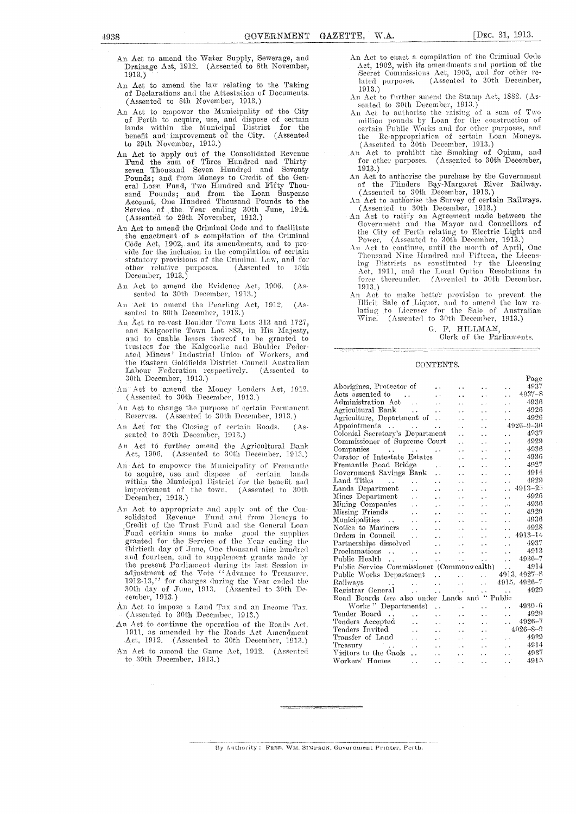- An Act to amend the Water Supply, Sewerage, and Drainage Act, 1912. (Assented to 8th November, 1913.)
- An Act to amend the law relating to the Taking of Declarations and the Attestation of Documents. (Assented to 8th November, 1913.)
- An Act to empower the Municipality of the City of Perth to acquire, use, and dispose of certain lands within the Municipal District for the benefit and improvement of the City. (Assented to 29th November, 1913.)
- An Act to apply out of the Consolidated Revenue Fund the sum of Three Hundred and Thirtyseven Thousand Seven Hundred and Seventy Pounds; and from Moneys to Credit of the General Loan Fund, Two Hundred and Fifty Thou-<br>sand Pounds; and from the Loan Suspense sand Pounds; and from the Loan Suspense Account, One Hundred Thousand Pounds to the Service.. of the Year ending 30th June, 1914. (Assented to 29th November, 1913.)
- An Act to amend the Criminal Code and to facilitate the enactment- of a compilation of the Criminal Code Act, 1902, and its amendments, and to provide for the inclusion in the compilation of certain statutory provisions of the Criminal Law, and for<br>other relative purposes. (Assented to 15th other relative purposes. December, 1913.)
- An Act to amend the Evidence Act, 1906. (Assented to 30th December, 1913.)
- An Act to amend the Pearling Act, 1912. (Assented to 30th December, 1913.)
- An Act to re-vest Boulder Town Lots 313 and 1727, and Kalgoorlie Town Lot 8S3, in His Majesty, and to enable leases thereof to be granted to rustees for the Kalgoorlie and Bbulder Feder-Miners' Industrial Union of Workers, and the Eastern Goldfields District Council Australian<br>Labour Federation respectively. (Assented to Labour Federation respectively. 30th December, 1913.)
- An Act to amend the Money Lenders Act, 1912. (Assented to 30th December, 1913.)
- Act to change the purpose of certain Permanent Reserves. (Assented to 30th December, 1913.)
- An Act for the Closing of certain Roads. (Assented to 30th December, 1913.)
- An Act to further amend the Agricultural Bank Act, 1906. (Assented to 30th December. 1913.)
- An Act to empower the Municipality of Fremantle to acquire, use and dispose of certain lands within the Municipal District for the benefit and improvement of the town. (Assented to 30th December, 1913.)
- An Act to appropriate and apply out of the Consolidated Revenue Fund and from Moneys to Credit of the Trust Fund and the General Loan Fund certain sums to make good the supplies granted for the Service of the Year ending the thirtieth day of June, One thousand nine hundred and fourteen, and to supplement grants made by the present Parliament during its last Session in adjustment of the Vote "Advance to Treasurer, 1912-13," for charges the Vear ended the 30th day of June, 1913. (Assented to 30th December, 1913.)
- An Act to impose a Land Tax and an Income Tax. (Assented to 30th December, 1913.)
- An Act to continue the operation of the Roads Act, 1911, as amended by the Roads Act Amendment .Act, 1912. (Assented to 30th December, 1913.)
- An Act to amend the Game Act, 1912. (Assented to 30th December,  $1913$ .)
- An Act to enact a compilation of the Criminal Code Act, 1902, with its amendments and portion of the Secret Commissions Act, 1905, and for other related purposes. (Assented to 30th December, (Assented to 30th December, 1913.)
- An Act to further amend the Stamp Act, 1882. (Assented to 30th December, 1913.)
- An Act to authorise the raising of a sum of Two utlilion pounds by Loan for the construction of certain Public Works and for other purposes, and the Re-appropriation of certain Loan Moneys.  $(A$  ssented to  $30$ th December, 1913.)
- An Act to prohibit the Smoking of Opium, and for other purposes. (Assented to 30th December, 1913.)
- An Act to authorise the purchase by the Government<br>of the Flinders Bay-Margaret River Railway. the Flinders Bay-Margaret (Assented to 30th December, 1913.)
- An Act to authorise the Survey of certain Railways. (Assented to 30th December, 1913.)
- An Act to ratify an Agreement made between the Government and the Mayor and Councillors of the City of Perth relating to Eleetric Light and Power. (Assented to 30th December, 1913.)
- An Act to continue, until the month of April, One Thousand Nine Hundred and Fifteen, the Licensing Districts as constituted by the Licensing. act, 1911, and the Local Option Resolutions in force thereunder. (Assented to 30th December, 1913.)
- An Act to make better provision to prevent the Illicit Sale of Liquor, and to amend the law re-<br>lating to Licenses for the Sale of Australian Wine. (Assented to 30th December, 1913.)

G. F. HILLMAN

### Clerk of the Parliaments.

#### CONTENTS.

|                                                |                                   |                        |                        |                      |                      | Page            |
|------------------------------------------------|-----------------------------------|------------------------|------------------------|----------------------|----------------------|-----------------|
| Aborigines, Protector of                       |                                   |                        |                        | . .                  |                      | 4937            |
| Acts assented to<br><b>Contract</b>            |                                   |                        |                        |                      | $\ddot{\phantom{0}}$ | $4937 - 8$      |
| Administration Act                             | $\sim$ .                          |                        |                        | . .                  | $\ddot{\phantom{0}}$ | 4936            |
| Agricultural Bank<br>$\sim 100$                |                                   | . .                    |                        |                      | $\ddot{\phantom{0}}$ | 4926            |
| Agriculture, Department of                     |                                   | $\ddot{\phantom{0}}$   |                        | $\ddot{\phantom{0}}$ |                      | 4926            |
| Appointments<br><b>Carl Contact Contact</b>    |                                   | $\ddotsc$              |                        |                      |                      | $4926 - 9 - 36$ |
| Colonial Secretary's Department                |                                   |                        |                        |                      | τ.                   | 4937            |
| Commissioner of Supreme Court                  |                                   |                        |                        |                      | $\ddot{\phantom{0}}$ | 4929            |
| Companies                                      | <b>Contract Contract Contract</b> |                        |                        |                      | $\ddot{\phantom{0}}$ | 4936            |
| Curator of Intestate Estates                   |                                   |                        |                        |                      | $\ddot{\phantom{1}}$ | 4936            |
| Fremantle Road Bridge                          |                                   | $\ddot{\phantom{1}}$   |                        |                      | $\ddot{\phantom{0}}$ | 4927            |
| Government Savings Bank                        |                                   | Ϋ.                     |                        |                      | $\cdot$ .            | 4914            |
| Land Titles<br>a a contra a a                  |                                   |                        |                        |                      | $\ddot{\phantom{1}}$ | 4929            |
| Lands Department                               | $\ddot{\phantom{a}}$              |                        |                        |                      |                      | 4913-25         |
| Mines Department                               | . .                               |                        |                        |                      | μ.                   | 4926            |
| Mining Companies                               | . .                               | $\ddot{\phantom{0}}$   |                        |                      | .                    | 4936            |
| Missing Friends                                |                                   |                        |                        |                      | . .                  | 4929            |
| Municipalities<br>$\sim$ .                     | ä,                                |                        |                        |                      | $\ddot{\phantom{0}}$ | 4936            |
| Notice to Mariners                             | $\ddot{\phantom{0}}$              | $\ddot{\phantom{0}}$   |                        |                      |                      | 4928            |
| Orders in Council                              | $\cdots$                          |                        |                        |                      |                      | 4913-14         |
| Partnerships dissolved                         |                                   | $\ddot{\phantom{0}}$   | $\ddot{\phantom{0}}$   |                      | τ.                   | 4937            |
| Proclamations<br>$\sim$ 100 $\sim$             | $\sim 100$                        | $\ddot{\phantom{0}}$   | $\ddot{\phantom{0}}$   | $\ddot{\phantom{0}}$ | $\ddot{\phantom{0}}$ | 4913            |
| Public Health                                  | $\sim$ .                          | $\ddot{\phantom{a}}$ . | $\ddot{\phantom{1}}$   | $\ddot{\phantom{a}}$ | $\ddot{\phantom{0}}$ | 4936-7          |
| Public Service Commissioner (Commonwealth)     |                                   |                        |                        |                      | $\ddot{\phantom{0}}$ | 4914            |
| Public Works Department                        |                                   | $\ddot{\phantom{a}}$   | $\ddot{\phantom{a}}$   | $\ddot{\phantom{a}}$ |                      | 4913, 4927-8    |
| Railways<br>and a series of the control of the |                                   |                        | $\ddot{\phantom{1}}$   | $\ddot{\phantom{a}}$ | 4915.                | $4926 - 7$      |
| Registrar General<br><b>Contract</b>           | <b>Contractor</b>                 |                        | $\ddot{\phantom{1}}$ . | i.                   | $\sim$ $\sim$        | 4929            |
| Road Boards (see also under Lands and "Public  |                                   |                        |                        |                      |                      |                 |
| Works "Departments)                            |                                   | $\ddot{\phantom{a}}$   | $\ddot{\phantom{0}}$   | i.                   | . .                  | $4930 - 6$      |
| Tender Board                                   | $\ddot{\phantom{0}}$              | $\ddot{\phantom{0}}$   | . .                    | $\ddot{\phantom{0}}$ | $\ddot{\phantom{1}}$ | 4929            |
| Tenders Accepted                               | $\ddot{\phantom{0}}$              | . .                    | . .                    | . .                  | $\ddot{\phantom{0}}$ | $4926 - 7$      |
| Tenders Invited                                | $\ddotsc$                         | $\ddot{\phantom{0}}$   | . .                    | . .                  |                      | $4926 - 8 - 9$  |
| Transfer of Land                               | $\ddot{\phantom{0}}$              | . .                    | . .                    | . .                  | $\ddot{\phantom{1}}$ | 4929            |
| Treasury<br><b>Contract</b>                    | $\ddot{\phantom{0}}$              | . .                    | . .                    | . .                  | $\ddot{\phantom{0}}$ | 4914            |
| Visitors to the Gaols                          | $\ddot{\phantom{0}}$              | . .                    | ÷,                     | . .                  | μ.                   | 4937            |
| Workers' Homes                                 | $\ddot{\phantom{a}}$              | $\ddot{\phantom{0}}$   | $\ddot{\phantom{0}}$   | . .                  | $\ddotsc$            | 4915            |
|                                                |                                   |                        |                        |                      |                      |                 |